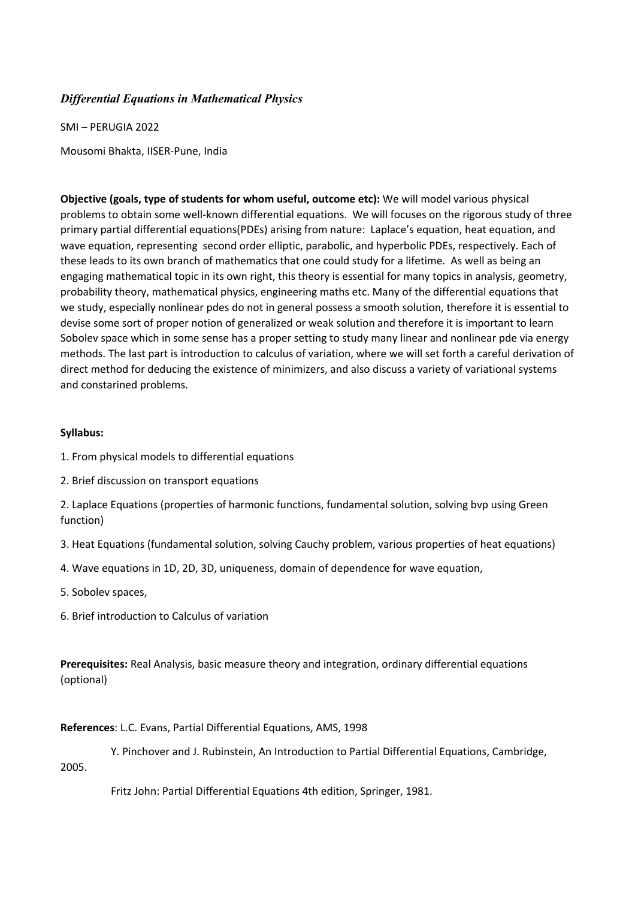## *Differential Equations in Mathematical Physics*

SMI – PERUGIA 2022 Mousomi Bhakta, IISER-Pune, India

**Objective (goals, type of students for whom useful, outcome etc):** We will model various physical problems to obtain some well-known differential equations. We will focuses on the rigorous study of three primary partial differential equations(PDEs) arising from nature: Laplace's equation, heat equation, and wave equation, representing second order elliptic, parabolic, and hyperbolic PDEs, respectively. Each of these leads to its own branch of mathematics that one could study for a lifetime. As well as being an engaging mathematical topic in its own right, this theory is essential for many topics in analysis, geometry, probability theory, mathematical physics, engineering maths etc. Many of the differential equations that we study, especially nonlinear pdes do not in general possess a smooth solution, therefore it is essential to devise some sort of proper notion of generalized or weak solution and therefore it is important to learn Sobolev space which in some sense has a proper setting to study many linear and nonlinear pde via energy methods. The last part is introduction to calculus of variation, where we will set forth a careful derivation of direct method for deducing the existence of minimizers, and also discuss a variety of variational systems and constarined problems.

## **Syllabus:**

- 1. From physical models to differential equations
- 2. Brief discussion on transport equations

2. Laplace Equations (properties of harmonic functions, fundamental solution, solving bvp using Green function)

- 3. Heat Equations (fundamental solution, solving Cauchy problem, various properties of heat equations)
- 4. Wave equations in 1D, 2D, 3D, uniqueness, domain of dependence for wave equation,
- 5. Sobolev spaces,
- 6. Brief introduction to Calculus of variation

**Prerequisites:** Real Analysis, basic measure theory and integration, ordinary differential equations (optional)

## **References**: L.C. Evans, Partial Differential Equations, AMS, 1998

 Y. Pinchover and J. Rubinstein, An Introduction to Partial Differential Equations, Cambridge, 2005.

Fritz John: Partial Differential Equations 4th edition, Springer, 1981.